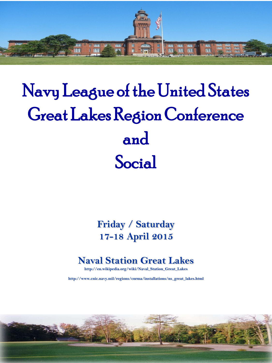

# Navy League of the United States Great Lakes Region Conference and Social

**Friday / Saturday 17-18 April 2015**

## **Naval Station Great Lakes**

**http://en.wikipedia.org/wiki/Naval\_Station\_Great\_Lakes**

**http://www.cnic.navy.mil/regions/cnrma/installations/ns\_great\_lakes.html**

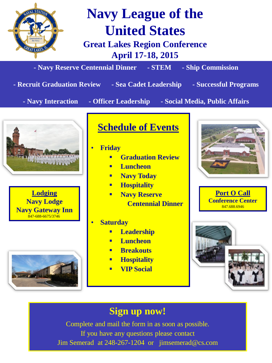

Jim Semerad at 248-267-1204 or jimsemerad@cs.com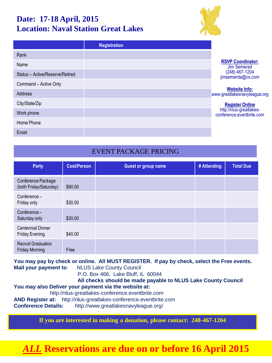### **Date: 17-18 April, 2015 Location: Naval Station Great Lakes**



|                                 | <b>Registration</b> |                                                      |
|---------------------------------|---------------------|------------------------------------------------------|
| Rank                            |                     |                                                      |
| Name                            |                     | <b>RSVP Coordinator:</b><br>Jim Semerad              |
| Status - Active/Reserve/Retired |                     | $(248)$ 467-1204<br>jimsemerda@cs.com                |
| Command - Active Only           |                     |                                                      |
| Address                         |                     | <b>Website Info:</b><br>www.greatlakesnavyleague.org |
| City/State/Zip                  |                     | <b>Register Online</b>                               |
| Work phone                      |                     | http://nlus-greatlakes-<br>conference.eventbrite.com |
| Home Phone                      |                     |                                                      |
| Email                           |                     |                                                      |

#### EVENT PACKAGE PRICING

| <b>Party</b>                                       | <b>Cost/Person</b> | <b>Guest or group name</b> | # Attending | <b>Total Due</b> |
|----------------------------------------------------|--------------------|----------------------------|-------------|------------------|
| Conference Package<br>(both Friday/Saturday)       | \$90.00            |                            |             |                  |
| Conference-<br>Friday only                         | \$30.00            |                            |             |                  |
| Conference-<br>Saturday only                       | \$30.00            |                            |             |                  |
| <b>Centennial Dinner</b><br><b>Friday Evening</b>  | \$40.00            |                            |             |                  |
| <b>Recruit Graduation</b><br><b>Friday Morning</b> | Free               |                            |             |                  |

**You may pay by check or online. All MUST REGISTER. If pay by check, select the Free events. Mail your payment to**: NLUS Lake County Council P.O. Box 466, Lake Bluff, IL 60044  **All checks should be made payable to NLUS Lake County Council** 

**You may also Deliver your payment via the website at:**  http://nlus-greatlakes-conference.eventbrite.com **AND Register at:** http://nlus-greatlakes-conference.eventbrite.com **Conference Details:** http://www.greatlakesnavyleague.org/

**If you are interested in making a donation, please contact: 248-467-1204**

# *ALL* **Reservations are due on or before 16 April 2015**